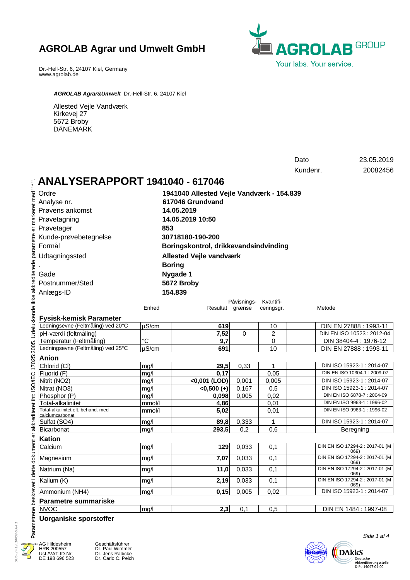

Dr.-Hell-Str. 6, 24107 Kiel, Germany www.agrolab.de

*AGROLAB Agrar&Umwelt* Dr.-Hell-Str. 6, 24107 Kiel

Allested Vejle Vandværk Kirkevej 27 5672 Broby DÄNEMARK

|                                                                                                         |                  |                                           |                | Dato<br>Kundenr.                    | 23.05.2019<br>20082456 |                                                      |  |
|---------------------------------------------------------------------------------------------------------|------------------|-------------------------------------------|----------------|-------------------------------------|------------------------|------------------------------------------------------|--|
|                                                                                                         |                  |                                           |                |                                     |                        |                                                      |  |
| <b>ANALYSERAPPORT 1941040 - 617046</b>                                                                  |                  |                                           |                |                                     |                        |                                                      |  |
| Ordre                                                                                                   |                  | 1941040 Allested Vejle Vandværk - 154.839 |                |                                     |                        |                                                      |  |
| Analyse nr.                                                                                             | 617046 Grundvand |                                           |                |                                     |                        |                                                      |  |
| Prøvens ankomst                                                                                         | 14.05.2019       |                                           |                |                                     |                        |                                                      |  |
| Prøvetagning                                                                                            |                  | 14.05.2019 10:50                          |                |                                     |                        |                                                      |  |
| er markeret med<br>Prøvetager                                                                           |                  |                                           |                |                                     |                        |                                                      |  |
|                                                                                                         |                  | 853                                       |                |                                     |                        |                                                      |  |
| Kunde-prøvebetegnelse                                                                                   |                  | 30718180-190-200                          |                |                                     |                        |                                                      |  |
| Formål                                                                                                  |                  | Boringskontrol, drikkevandsindvinding     |                |                                     |                        |                                                      |  |
| Udtagningssted                                                                                          |                  | <b>Allested Vejle vandværk</b>            |                |                                     |                        |                                                      |  |
|                                                                                                         |                  | <b>Boring</b>                             |                |                                     |                        |                                                      |  |
| Gade                                                                                                    |                  | Nygade 1                                  |                |                                     |                        |                                                      |  |
| Postnummer/Sted                                                                                         |                  | 5672 Broby                                |                |                                     |                        |                                                      |  |
|                                                                                                         |                  | 154.839                                   |                |                                     |                        |                                                      |  |
| Anlægs-ID                                                                                               |                  |                                           |                |                                     |                        |                                                      |  |
|                                                                                                         | Enhed            | Resultat grænse                           |                | Påvisnings- Kvantifi-<br>ceringsgr. | Metode                 |                                                      |  |
|                                                                                                         |                  |                                           |                |                                     |                        |                                                      |  |
| <b>Fysisk-kemisk Parameter</b>                                                                          |                  |                                           |                |                                     |                        |                                                      |  |
| Ledningsevne (Feltmåling) ved 20°C                                                                      | $\mu$ S/cm       | 619                                       |                | 10                                  |                        | DIN EN 27888 : 1993-11                               |  |
| pH-værdi (feltmåling)                                                                                   |                  | 7,52                                      | 0              | 2                                   |                        | DIN EN ISO 10523: 2012-04                            |  |
| Temperatur (Feltmåling)<br>Ledningsevne (Feltmåling) ved 25°C                                           | $^{\circ}C$      | 9,7                                       |                | 0                                   |                        | DIN 38404-4 : 1976-12                                |  |
|                                                                                                         | $\mu$ S/cm       | 691                                       |                | 10                                  |                        | DIN EN 27888 : 1993-11                               |  |
| Anion                                                                                                   |                  |                                           |                |                                     |                        |                                                      |  |
| Chlorid (CI)                                                                                            | mq/l             | 29,5                                      | 0,33           | 1                                   |                        | DIN ISO 15923-1: 2014-07                             |  |
| Fluorid (F)                                                                                             | mg/l             | 0,17                                      |                | 0,05                                |                        | DIN EN ISO 10304-1 : 2009-07                         |  |
| Nitrit (NO2)<br>Nitrat (NO3)                                                                            | mg/l             | <0,001 (LOD)                              | 0,001<br>0,167 | 0,005<br>0,5                        |                        | DIN ISO 15923-1: 2014-07<br>DIN ISO 15923-1: 2014-07 |  |
| Phosphor (P)                                                                                            | mg/l<br>mg/l     | $<0,500 (+)$<br>0,098                     | 0,005          | 0,02                                |                        | DIN EN ISO 6878-7 : 2004-09                          |  |
| Total-alkalinitet                                                                                       | mmol/l           | 4,86                                      |                | 0,01                                |                        | DIN EN ISO 9963-1: 1996-02                           |  |
| Total-alkalinitet eft. behand. med                                                                      | mmol/l           | 5,02                                      |                | 0,01                                |                        | DIN EN ISO 9963-1: 1996-02                           |  |
| calciumcarbonat                                                                                         |                  |                                           |                |                                     |                        |                                                      |  |
| Sulfat (SO4)                                                                                            | mg/l             | 89,8                                      | 0,333          | 1                                   |                        | DIN ISO 15923-1: 2014-07                             |  |
| Bicarbonat                                                                                              | mg/l             | 293,5                                     | 0,2            | 0,6                                 |                        | Beregning                                            |  |
| <b>Kation</b>                                                                                           |                  |                                           |                |                                     |                        |                                                      |  |
| Calcium                                                                                                 | mg/l             | 129                                       | 0,033          | 0,1                                 |                        | DIN EN ISO 17294-2 : 2017-01 (M<br>069)              |  |
| dokument er akkrediteret iht: ISO/IEC 17025:2005. Udelukkende ikke akkrediterede parametre<br>Magnesium | mg/l             | 7,07                                      | 0,033          | 0,1                                 |                        | DIN EN ISO 17294-2 : 2017-01 (M<br>069)              |  |
| Natrium (Na)                                                                                            | mg/l             | 11,0                                      | 0,033          | 0,1                                 |                        | DIN EN ISO 17294-2 : 2017-01 (M<br>069)              |  |
| Kalium (K)                                                                                              | mg/l             | 2,19                                      | 0,033          | 0,1                                 |                        | DIN EN ISO 17294-2 : 2017-01 (M<br>069)              |  |
| Ammonium (NH4)                                                                                          | mg/l             | 0,15                                      | 0,005          | 0,02                                |                        | DIN ISO 15923-1: 2014-07                             |  |
| <b>Parametre summariske</b>                                                                             |                  |                                           |                |                                     |                        |                                                      |  |
| <b>NVOC</b>                                                                                             | mg/l             | 2,3                                       | 0,1            | 0,5                                 |                        | DIN EN 1484 : 1997-08                                |  |
| Parametrene beskrevet i dette<br><b>Uorganiske sporstoffer</b>                                          |                  |                                           |                |                                     |                        | Side 1 af 4                                          |  |

DOC-27-12314489-DA-P1 DOC-27-12314489-DA-P1  $23.0$ 

AG Hildesheim HRB 200557 Ust./VAT-ID-Nr: DE 198 696 523

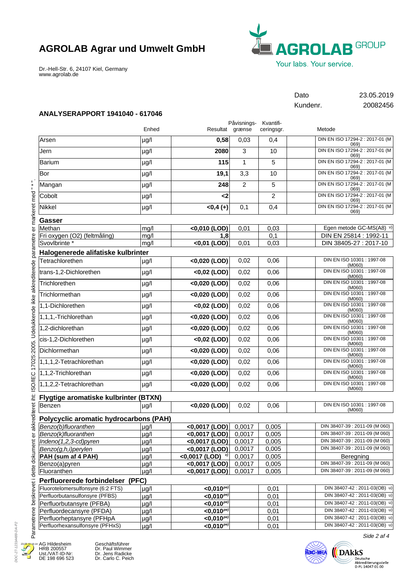Dr.-Hell-Str. 6, 24107 Kiel, Germany www.agrolab.de



Dato 23.05.2019 Kundenr. 20082456

## **ANALYSERAPPORT 1941040 - 617046**

|                                        |           |                              | Påvisnings-<br>Kvantifi- |                |                                         |  |
|----------------------------------------|-----------|------------------------------|--------------------------|----------------|-----------------------------------------|--|
|                                        | Enhed     | Resultat grænse              |                          | ceringsgr.     | Metode                                  |  |
| Arsen                                  | µg/l      | 0,58                         | 0,03                     | 0,4            | DIN EN ISO 17294-2 : 2017-01 (M<br>069) |  |
| Jern                                   | $\mu$ g/l | 2080                         | 3                        | 10             | DIN EN ISO 17294-2 : 2017-01 (M<br>069) |  |
| Barium                                 | µg/l      | 115                          | $\mathbf{1}$             | 5              | DIN EN ISO 17294-2 : 2017-01 (M<br>069) |  |
| Bor                                    | µg/l      | 19,1                         | 3,3                      | 10             | DIN EN ISO 17294-2 : 2017-01 (M<br>069) |  |
| Mangan                                 | µg/l      | 248                          | $\overline{c}$           | 5              | DIN EN ISO 17294-2 : 2017-01 (M<br>069) |  |
| Cobolt                                 | µg/l      | $\leq$                       |                          | $\overline{c}$ | DIN EN ISO 17294-2 : 2017-01 (M<br>069) |  |
| Nikkel                                 | $\mu g/l$ | $<0,4(+)$                    | 0,1                      | 0,4            | DIN EN ISO 17294-2 : 2017-01 (M<br>069) |  |
| Gasser                                 |           |                              |                          |                |                                         |  |
| Methan                                 | mg/l      | <0,010 (LOD)                 | 0,01                     | 0,03           | Egen metode GC-MS(A8) v)                |  |
| Fri oxygen (O2) (feltmåling)           | mg/l      | 1,8                          |                          | 0,1            | DIN EN 25814 : 1992-11                  |  |
| Svovlbrinte *                          | mg/l      | $<$ 0,01 (LOD)               | 0,01                     | 0,03           | DIN 38405-27 : 2017-10                  |  |
| Halogenerede alifatiske kulbrinter     |           |                              |                          |                |                                         |  |
| Tetrachlorethen                        | µg/l      | <0,020 (LOD)                 | 0,02                     | 0,06           | DIN EN ISO 10301 : 1997-08<br>(M060)    |  |
| trans-1,2-Dichlorethen                 | µg/l      | <0,02 (LOD)                  | 0,02                     | 0,06           | DIN EN ISO 10301 : 1997-08<br>(M060)    |  |
| Trichlorethen                          | $\mu$ g/l | <0,020 (LOD)                 | 0,02                     | 0,06           | DIN EN ISO 10301 : 1997-08<br>(M060)    |  |
| Trichlormethan                         | $\mu$ g/l | <0,020 (LOD)                 | 0,02                     | 0,06           | DIN EN ISO 10301 : 1997-08<br>(M060)    |  |
| 1,1-Dichlorethen                       | $\mu$ g/l | <0,02 (LOD)                  | 0,02                     | 0,06           | DIN EN ISO 10301 : 1997-08<br>(M060)    |  |
| 1,1,1,-Trichlorethan                   | µg/l      | <0,020 (LOD)                 | 0,02                     | 0,06           | DIN EN ISO 10301 : 1997-08<br>(M060)    |  |
| 1,2-dichlorethan                       | $\mu$ g/l | <0,020 (LOD)                 | 0,02                     | 0,06           | DIN EN ISO 10301 : 1997-08<br>(M060)    |  |
| cis-1,2-Dichlorethen                   | $\mu g/l$ | <0,02 (LOD)                  | 0,02                     | 0,06           | DIN EN ISO 10301 : 1997-08<br>(M060)    |  |
| Dichlormethan                          | µg/l      | <0,020 (LOD)                 | 0,02                     | 0,06           | DIN EN ISO 10301 : 1997-08<br>(M060)    |  |
| 1,1,1,2-Tetrachlorethan                | µg/l      | <0,020 (LOD)                 | 0,02                     | 0,06           | DIN EN ISO 10301 : 1997-08<br>(M060)    |  |
| 1,1,2-Trichlorethan                    | µg/l      | <0,020 (LOD)                 | 0,02                     | 0,06           | DIN EN ISO 10301 : 1997-08<br>(M060)    |  |
| 1,1,2,2-Tetrachlorethan                | µg/l      | <0,020 (LOD)                 | 0,02                     | 0,06           | DIN EN ISO 10301 : 1997-08<br>(M060)    |  |
| Flygtige aromatiske kulbrinter (BTXN)  |           |                              |                          |                |                                         |  |
| Benzen                                 | $\mu$ g/l | <0,020 (LOD)                 | 0,02                     | 0,06           | DIN EN ISO 10301 : 1997-08<br>(M060)    |  |
| Polycyclic aromatic hydrocarbons (PAH) |           |                              |                          |                |                                         |  |
| Benzo(b)fluoranthen                    | $\mu$ g/l | $<$ 0,0017 (LOD)             | 0,0017                   | 0,005          | DIN 38407-39 : 2011-09 (M 060)          |  |
| Benzo(k)fluoranthen                    | $\mu$ g/l | <0,0017 (LOD)                | 0,0017                   | 0,005          | DIN 38407-39 : 2011-09 (M 060)          |  |
| Indeno(1,2,3-cd)pyren                  | $\mu$ g/l | <0,0017 (LOD)                | 0,0017                   | 0,005          | DIN 38407-39 : 2011-09 (M 060)          |  |
| Benzo(g,h,i)perylen                    | $\mu$ g/l | <0,0017 (LOD)                | 0,0017                   | 0,005          | DIN 38407-39 : 2011-09 (M 060)          |  |
| PAH (sum af 4 PAH)                     | $\mu$ g/l | <0,0017 (LOD) $^{x}$         | 0,0017                   | 0,005          | Beregning                               |  |
| Benzo(a)pyren                          | $\mu$ g/l | <0,0017 (LOD)                | 0,0017                   | 0,005          | DIN 38407-39 : 2011-09 (M 060)          |  |
| Fluoranthen                            | $\mu$ g/l | <0,0017 (LOD)                | 0,0017                   | 0,005          | DIN 38407-39 : 2011-09 (M 060)          |  |
| Perfluorerede forbindelser (PFC)       |           |                              |                          |                |                                         |  |
| Fluorotelomersulfonsyre (6:2 FTS)      | $\mu$ g/l | $<$ 0.010 $^{pe}$            |                          | 0,01           | DIN 38407-42: 2011-03(OB) u)            |  |
| Perfluorbutansulfonsyre (PFBS)         | $\mu$ g/l | $<$ 0,010 $P$ <sup>pe)</sup> |                          | 0,01           | DIN 38407-42 : 2011-03(OB) u)           |  |
| Perfluorbutansyre (PFBA)               | $\mu$ g/l | $<$ 0,010 $^{pe}$            |                          | 0,01           | DIN 38407-42 : 2011-03(OB) u)           |  |
| Perfluordecansyre (PFDA)               | $\mu$ g/l | $<$ 0,010 $^{pe}$            |                          | 0,01           | DIN 38407-42 : 2011-03(OB) u)           |  |
| Perfluorheptansyre (PFHpA              | $\mu$ g/l | $<$ 0,010 $^{p_e}$           |                          | 0,01           | DIN 38407-42 : 2011-03(OB) u)           |  |
| Perfluorhexansulfonsyre (PFHxS)        | $\mu$ g/l | $<$ 0,010 $^{pe}$            |                          | 0,01           | DIN 38407-42 : 2011-03(OB) u)           |  |

DOC-27-12314489-DA-P2 DOC-27-12314489-DA-P2 23.05.19 16

E

AG Hildesheim HRB 200557 Ust./VAT-ID-Nr: DE 198 696 523

Geschäftsführer Dr. Paul Wimmer Dr. Jens Radicke Dr. Carlo C. Peich



Side 2 af 4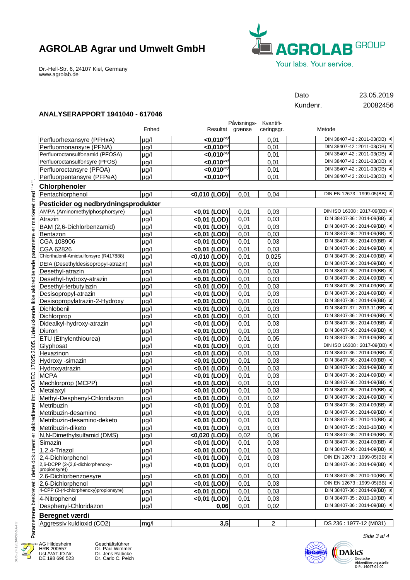

Dr.-Hell-Str. 6, 24107 Kiel, Germany www.agrolab.de

Dato 23.05.2019 Kundenr. 20082456

## **ANALYSERAPPORT 1941040 - 617046**

|                                        |           |                          | Påvisnings-<br>Kvantifi- |            |                               |  |
|----------------------------------------|-----------|--------------------------|--------------------------|------------|-------------------------------|--|
|                                        | Enhed     |                          | Resultat grænse          | ceringsgr. | Metode                        |  |
| Perfluorhexansyre (PFHxA)              | µa/l      | $<$ 0,010 $^{pe}$        |                          | 0,01       | DIN 38407-42 : 2011-03(OB) u) |  |
| Perfluornonansyre (PFNA)               | $\mu$ g/l | $<$ 0,010 $^{pe}$        |                          | 0,01       | DIN 38407-42 : 2011-03(OB) u) |  |
| Perfluoroctansulfonamid (PFOSA)        | µg/l      | $<$ 0,010 $^{pe}$        |                          | 0,01       | DIN 38407-42 : 2011-03(OB) u) |  |
| Perfluoroctansulfonsyre (PFOS)         | $\mu$ g/l | $<$ 0,010 $Pe$           |                          | 0,01       | DIN 38407-42 : 2011-03(OB) u) |  |
| Perfluoroctansyre (PFOA)               | µg/l      | $<$ 0,010 $^{pe}$        |                          | 0,01       | DIN 38407-42 : 2011-03(OB) u) |  |
| Perfluorpentansyre (PFPeA)             | µg/l      | $<$ 0,010 <sup>pe)</sup> |                          | 0,01       | DIN 38407-42 : 2011-03(OB) u) |  |
| <b>Chlorphenoler</b>                   |           |                          |                          |            |                               |  |
| Pentachlorphenol                       | $\mu$ g/l | <0,010 (LOD)             | 0,01                     | 0,04       | DIN EN 12673 : 1999-05(BB) u) |  |
| Pesticider og nedbrydningsprodukter    |           |                          |                          |            |                               |  |
| AMPA (Aminomethylphosphorsyre)         |           |                          |                          |            | DIN ISO 16308: 2017-09(BB) u) |  |
|                                        | ua/l      | $<0,01$ (LOD)            | 0,01                     | 0.03       | DIN 38407-36 : 2014-09(BB) u) |  |
| Atrazin                                | $\mu$ g/l | $<0,01$ (LOD)            | 0,01                     | 0,03       | DIN 38407-36 : 2014-09(BB) u) |  |
| BAM (2,6-Dichlorbenzamid)              | $\mu$ g/l | $<0,01$ (LOD)            | 0,01                     | 0,03       | DIN 38407-36 : 2014-09(BB) u) |  |
| Bentazon                               | $\mu$ g/l | $<0,01$ (LOD)            | 0,01                     | 0,03       | DIN 38407-36 : 2014-09(BB) u) |  |
| CGA 108906                             | $\mu$ g/l | $<$ 0,01 (LOD)           | 0,01                     | 0,03       | DIN 38407-36 : 2014-09(BB) u) |  |
| CGA 62826                              | µg/l      | <0,01 (LOD)              | 0,01                     | 0,03       |                               |  |
| Chlorthalonil-Amidsulfonsyre (R417888) | $\mu$ g/l | <0,010 (LOD)             | 0,01                     | 0,025      | DIN 38407-36 : 2014-09(BB) u) |  |
| DEIA (Desethyldesisopropyl-atrazin)    | $\mu$ g/l | $<0,01$ (LOD)            | 0,01                     | 0,03       | DIN 38407-36 : 2014-09(BB) u) |  |
| Desethyl-atrazin                       | $\mu$ g/l | $<$ 0,01 (LOD)           | 0,01                     | 0,03       | DIN 38407-36 : 2014-09(BB) u) |  |
| Desethyl-hydroxy-atrazin               | $\mu$ g/l | <0,01 (LOD)              | 0,01                     | 0,03       | DIN 38407-36 : 2014-09(BB) u) |  |
| Desethyl-terbutylazin                  | µg/l      | $<0,01$ (LOD)            | 0,01                     | 0,03       | DIN 38407-36 : 2014-09(BB) u) |  |
| Desisopropyl-atrazin                   | $\mu$ g/l | $<0,01$ (LOD)            | 0,01                     | 0,03       | DIN 38407-36 : 2014-09(BB) u) |  |
| Desisopropylatrazin-2-Hydroxy          | $\mu$ g/l | $<0,01$ (LOD)            | 0,01                     | 0,03       | DIN 38407-36 : 2014-09(BB) u) |  |
| Dichlobenil                            | µg/l      | $<$ 0,01 (LOD)           | 0,01                     | 0,03       | DIN 38407-37: 2013-11(BB) u)  |  |
| Dichlorprop                            | $\mu$ g/l | $<$ 0,01 (LOD)           | 0,01                     | 0,03       | DIN 38407-36 : 2014-09(BB) u) |  |
| Didealkyl-hydroxy-atrazin              | µg/l      | $<0,01$ (LOD)            | 0,01                     | 0,03       | DIN 38407-36 : 2014-09(BB) u) |  |
| Diuron                                 | $\mu$ g/l | <0,01 (LOD)              | 0,01                     | 0,03       | DIN 38407-36 : 2014-09(BB) u) |  |
| ETU (Ethylenthiourea)                  | $\mu$ g/l | <0,01 (LOD)              | 0,01                     | 0,05       | DIN 38407-36 : 2014-09(BB) u) |  |
| Glyphosat                              | $\mu$ g/l | $<$ 0,01 (LOD)           | 0,01                     | 0,03       | DIN ISO 16308: 2017-09(BB) u) |  |
| Hexazinon                              | $\mu$ g/l | <0,01 (LOD)              | 0,01                     | 0,03       | DIN 38407-36 : 2014-09(BB) u) |  |
| Hydroxy -simazin                       | µg/l      | $<0,01$ (LOD)            | 0,01                     | 0,03       | DIN 38407-36 : 2014-09(BB) u) |  |
| Hydroxyatrazin                         | $\mu$ g/l | $<$ 0,01 (LOD)           | 0,01                     | 0,03       | DIN 38407-36 : 2014-09(BB) u) |  |
| <b>MCPA</b>                            | $\mu$ g/l | $<0,01$ (LOD)            | 0,01                     | 0,03       | DIN 38407-36 : 2014-09(BB) u) |  |
| Mechlorprop (MCPP)                     | $\mu$ g/l | $<$ 0,01 (LOD)           | 0,01                     | 0,03       | DIN 38407-36 : 2014-09(BB) u) |  |
| Metalaxyl                              | $\mu$ g/l | <0,01 (LOD)              | 0,01                     | 0,03       | DIN 38407-36 : 2014-09(BB) u) |  |
| Methyl-Desphenyl-Chloridazon           | µg/l      | <0,01 (LOD)              | 0,01                     | 0,02       | DIN 38407-36 : 2014-09(BB) u) |  |
| Metribuzin                             | µg/l      | $\sqrt{0,01}$ (LOD)      | 0,01                     | 0,03       | DIN 38407-36 : 2014-09(BB) u) |  |
| Metribuzin-desamino                    | $\mu$ g/l | $<0,01$ (LOD)            | 0,01                     | 0,03       | DIN 38407-36 : 2014-09(BB) u) |  |
| Metribuzin-desamino-deketo             | µg/l      | $<$ 0,01 (LOD)           | 0,01                     | 0,03       | DIN 38407-35: 2010-10(BB) u)  |  |
| Metribuzin-diketo                      | $\mu$ g/l | $<0,01$ (LOD)            | 0,01                     | 0,03       | DIN 38407-35 : 2010-10(BB) u) |  |
| N,N-Dimethylsulfamid (DMS)             | µg/l      | <0,020 (LOD)             | 0,02                     | 0,06       | DIN 38407-36 : 2014-09(BB) u) |  |
| Simazin                                | µg/l      | <0,01 (LOD)              | 0,01                     | 0,03       | DIN 38407-36 : 2014-09(BB) u) |  |
| 1,2,4-Triazol                          | $\mu$ g/l | $<$ 0,01 (LOD)           | 0,01                     | 0,03       | DIN 38407-36 : 2014-09(BB) u) |  |
| 2,4-Dichlorphenol                      | µg/l      | $<$ 0,01 (LOD)           | 0,01                     | 0,03       | DIN EN 12673 : 1999-05(BB) u) |  |
| 2,6-DCPP (2-(2,6-dichlorphenoxy-       |           | <0,01 (LOD)              |                          |            | DIN 38407-36 : 2014-09(BB) u) |  |
| propionsyre))                          | µg/l      |                          | 0,01                     | 0,03       |                               |  |
| 2,6-Dichlorbenzoesyre                  | µg/l      | <0,01 (LOD)              | 0,01                     | 0,03       | DIN 38407-35: 2010-10(BB) u)  |  |
| 2,6-Dichlorphenol                      | $\mu$ g/l | $<$ 0,01 (LOD)           | 0,01                     | 0,03       | DIN EN 12673 : 1999-05(BB) u) |  |
| 4-CPP (2-(4-chlorphenoxy)propionsyre)  | µg/l      | $<$ 0,01 (LOD)           | 0,01                     | 0,03       | DIN 38407-36 : 2014-09(BB) u) |  |
| 4-Nitrophenol                          | µg/l      | $<$ 0,01 (LOD)           | 0,01                     | 0,03       | DIN 38407-35 : 2010-10(BB) u) |  |
| Desphenyl-Chloridazon                  | µg/l      | 0,06                     | 0,01                     | 0,02       | DIN 38407-36 : 2014-09(BB) u) |  |
| Beregnet værdi                         |           |                          |                          |            |                               |  |
| Aggressiv kuldioxid (CO2)              | mg/l      | 3,5                      |                          | 2          | DS 236: 1977-12 (M031)        |  |
|                                        |           |                          |                          |            |                               |  |

## **Beregnet værdi**

| $\cap$<br>Aggressiv<br>' kuldioxid<br>$\overline{\phantom{a}}$<br>ື້ | ma/l | . . | $- - -$<br>ววค<br>'nс<br>- גר<br>TMU31<br>◡<br>- 77<br>. |
|----------------------------------------------------------------------|------|-----|----------------------------------------------------------|
|                                                                      |      |     |                                                          |



DE 198 696 523

Geschäftsführer Dr. Paul Wimmer Dr. Jens Radicke Dr. Carlo C. Peich



Side 3 af 4

DOC-27-12314489-DA-P3

DOC-27-12314489-DA-P3